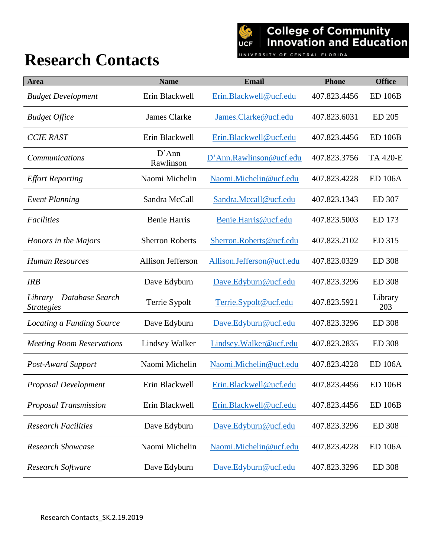## **Research Contacts**

UNIVERSITY OF CENTRAL FLORIDA

| Area                                                         | <b>Name</b>              | Email                     | <b>Phone</b> | <b>Office</b>   |
|--------------------------------------------------------------|--------------------------|---------------------------|--------------|-----------------|
| <b>Budget Development</b>                                    | Erin Blackwell           | Erin.Blackwell@ucf.edu    | 407.823.4456 | <b>ED 106B</b>  |
| <b>Budget Office</b>                                         | James Clarke             | James.Clarke@ucf.edu      | 407.823.6031 | ED 205          |
| <b>CCIE RAST</b>                                             | Erin Blackwell           | Erin.Blackwell@ucf.edu    | 407.823.4456 | <b>ED 106B</b>  |
| <b>Communications</b>                                        | D'Ann<br>Rawlinson       | D'Ann.Rawlinson@ucf.edu   | 407.823.3756 | <b>TA 420-E</b> |
| <b>Effort Reporting</b>                                      | Naomi Michelin           | Naomi.Michelin@ucf.edu    | 407.823.4228 | <b>ED 106A</b>  |
| <b>Event Planning</b>                                        | Sandra McCall            | Sandra.Mccall@ucf.edu     | 407.823.1343 | ED 307          |
| <b>Facilities</b>                                            | <b>Benie Harris</b>      | Benie.Harris@ucf.edu      | 407.823.5003 | ED 173          |
| Honors in the Majors                                         | <b>Sherron Roberts</b>   | Sherron.Roberts@ucf.edu   | 407.823.2102 | ED 315          |
| <b>Human Resources</b>                                       | <b>Allison Jefferson</b> | Allison.Jefferson@ucf.edu | 407.823.0329 | <b>ED 308</b>   |
| <b>IRB</b>                                                   | Dave Edyburn             | Dave.Edyburn@ucf.edu      | 407.823.3296 | <b>ED 308</b>   |
| Library – Database Search<br><i><u><b>Strategies</b></u></i> | Terrie Sypolt            | Terrie.Sypolt@ucf.edu     | 407.823.5921 | Library<br>203  |
| Locating a Funding Source                                    | Dave Edyburn             | Dave.Edyburn@ucf.edu      | 407.823.3296 | <b>ED 308</b>   |
| <b>Meeting Room Reservations</b>                             | Lindsey Walker           | Lindsey. Walker@ucf.edu   | 407.823.2835 | <b>ED 308</b>   |
| <b>Post-Award Support</b>                                    | Naomi Michelin           | Naomi.Michelin@ucf.edu    | 407.823.4228 | <b>ED 106A</b>  |
| Proposal Development                                         | Erin Blackwell           | Erin.Blackwell@ucf.edu    | 407.823.4456 | <b>ED 106B</b>  |
| Proposal Transmission                                        | Erin Blackwell           | Erin.Blackwell@ucf.edu    | 407.823.4456 | <b>ED 106B</b>  |
| <b>Research Facilities</b>                                   | Dave Edyburn             | Dave.Edyburn@ucf.edu      | 407.823.3296 | <b>ED 308</b>   |
| <b>Research Showcase</b>                                     | Naomi Michelin           | Naomi.Michelin@ucf.edu    | 407.823.4228 | <b>ED 106A</b>  |
| Research Software                                            | Dave Edyburn             | Dave.Edyburn@ucf.edu      | 407.823.3296 | <b>ED 308</b>   |